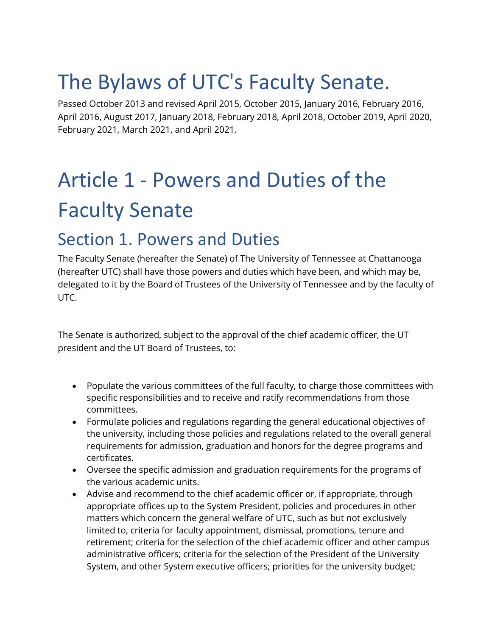# The Bylaws of UTC's Faculty Senate.

Passed October 2013 and revised April 2015, October 2015, January 2016, February 2016, April 2016, August 2017, January 2018, February 2018, April 2018, October 2019, April 2020, February 2021, March 2021, and April 2021.

# Article 1 - Powers and Duties of the Faculty Senate

### Section 1. Powers and Duties

The Faculty Senate (hereafter the Senate) of The University of Tennessee at Chattanooga (hereafter UTC) shall have those powers and duties which have been, and which may be, delegated to it by the Board of Trustees of the University of Tennessee and by the faculty of UTC.

The Senate is authorized, subject to the approval of the chief academic officer, the UT president and the UT Board of Trustees, to:

- Populate the various committees of the full faculty, to charge those committees with specific responsibilities and to receive and ratify recommendations from those committees.
- Formulate policies and regulations regarding the general educational objectives of the university, including those policies and regulations related to the overall general requirements for admission, graduation and honors for the degree programs and certificates.
- Oversee the specific admission and graduation requirements for the programs of the various academic units.
- Advise and recommend to the chief academic officer or, if appropriate, through appropriate offices up to the System President, policies and procedures in other matters which concern the general welfare of UTC, such as but not exclusively limited to, criteria for faculty appointment, dismissal, promotions, tenure and retirement; criteria for the selection of the chief academic officer and other campus administrative officers; criteria for the selection of the President of the University System, and other System executive officers; priorities for the university budget;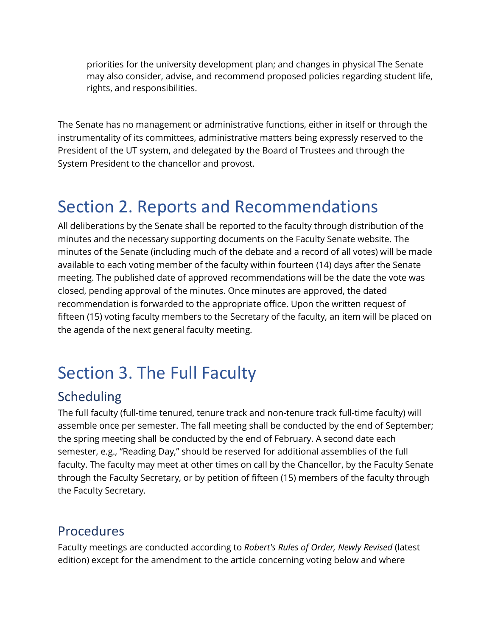priorities for the university development plan; and changes in physical The Senate may also consider, advise, and recommend proposed policies regarding student life, rights, and responsibilities.

The Senate has no management or administrative functions, either in itself or through the instrumentality of its committees, administrative matters being expressly reserved to the President of the UT system, and delegated by the Board of Trustees and through the System President to the chancellor and provost.

### Section 2. Reports and Recommendations

All deliberations by the Senate shall be reported to the faculty through distribution of the minutes and the necessary supporting documents on the Faculty Senate website. The minutes of the Senate (including much of the debate and a record of all votes) will be made available to each voting member of the faculty within fourteen (14) days after the Senate meeting. The published date of approved recommendations will be the date the vote was closed, pending approval of the minutes. Once minutes are approved, the dated recommendation is forwarded to the appropriate office. Upon the written request of fifteen (15) voting faculty members to the Secretary of the faculty, an item will be placed on the agenda of the next general faculty meeting.

## Section 3. The Full Faculty

#### Scheduling

The full faculty (full-time tenured, tenure track and non-tenure track full-time faculty) will assemble once per semester. The fall meeting shall be conducted by the end of September; the spring meeting shall be conducted by the end of February. A second date each semester, e.g., "Reading Day," should be reserved for additional assemblies of the full faculty. The faculty may meet at other times on call by the Chancellor, by the Faculty Senate through the Faculty Secretary, or by petition of fifteen (15) members of the faculty through the Faculty Secretary.

#### Procedures

Faculty meetings are conducted according to *Robert's Rules of Order, Newly Revised* (latest edition) except for the amendment to the article concerning voting below and where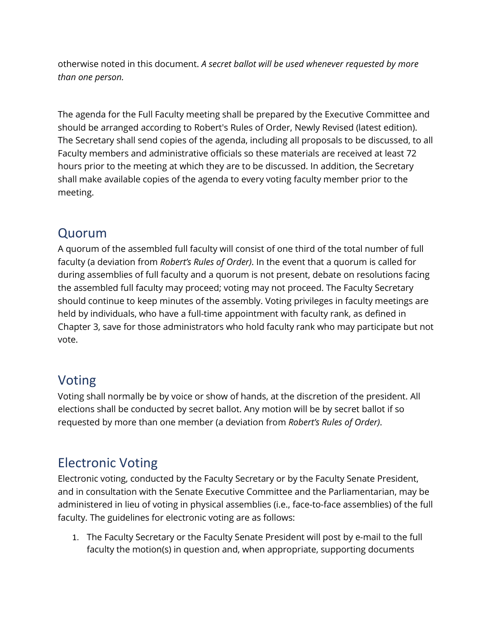otherwise noted in this document. *A secret ballot will be used whenever requested by more than one person.*

The agenda for the Full Faculty meeting shall be prepared by the Executive Committee and should be arranged according to Robert's Rules of Order, Newly Revised (latest edition). The Secretary shall send copies of the agenda, including all proposals to be discussed, to all Faculty members and administrative officials so these materials are received at least 72 hours prior to the meeting at which they are to be discussed. In addition, the Secretary shall make available copies of the agenda to every voting faculty member prior to the meeting.

#### Quorum

A quorum of the assembled full faculty will consist of one third of the total number of full faculty (a deviation from *Robert's Rules of Order)*. In the event that a quorum is called for during assemblies of full faculty and a quorum is not present, debate on resolutions facing the assembled full faculty may proceed; voting may not proceed. The Faculty Secretary should continue to keep minutes of the assembly. Voting privileges in faculty meetings are held by individuals, who have a full-time appointment with faculty rank, as defined in Chapter 3, save for those administrators who hold faculty rank who may participate but not vote.

#### Voting

Voting shall normally be by voice or show of hands, at the discretion of the president. All elections shall be conducted by secret ballot. Any motion will be by secret ballot if so requested by more than one member (a deviation from *Robert's Rules of Order)*.

#### Electronic Voting

Electronic voting, conducted by the Faculty Secretary or by the Faculty Senate President, and in consultation with the Senate Executive Committee and the Parliamentarian, may be administered in lieu of voting in physical assemblies (i.e., face-to-face assemblies) of the full faculty. The guidelines for electronic voting are as follows:

1. The Faculty Secretary or the Faculty Senate President will post by e-mail to the full faculty the motion(s) in question and, when appropriate, supporting documents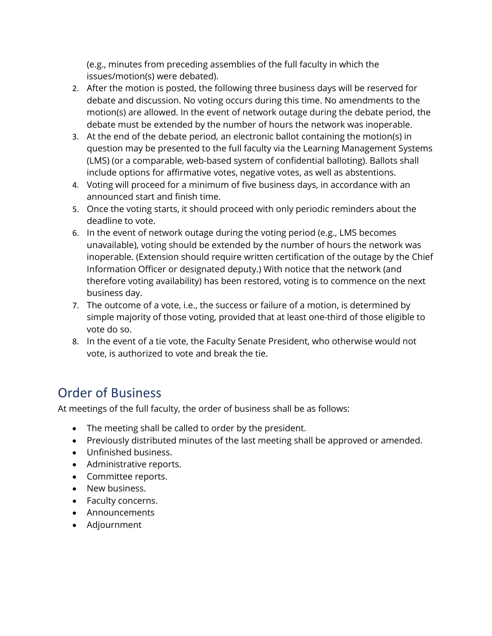(e.g., minutes from preceding assemblies of the full faculty in which the issues/motion(s) were debated).

- 2. After the motion is posted, the following three business days will be reserved for debate and discussion. No voting occurs during this time. No amendments to the motion(s) are allowed. In the event of network outage during the debate period, the debate must be extended by the number of hours the network was inoperable.
- 3. At the end of the debate period, an electronic ballot containing the motion(s) in question may be presented to the full faculty via the Learning Management Systems (LMS) (or a comparable, web-based system of confidential balloting). Ballots shall include options for affirmative votes, negative votes, as well as abstentions.
- 4. Voting will proceed for a minimum of five business days, in accordance with an announced start and finish time.
- 5. Once the voting starts, it should proceed with only periodic reminders about the deadline to vote.
- 6. In the event of network outage during the voting period (e.g., LMS becomes unavailable), voting should be extended by the number of hours the network was inoperable. (Extension should require written certification of the outage by the Chief Information Officer or designated deputy.) With notice that the network (and therefore voting availability) has been restored, voting is to commence on the next business day.
- 7. The outcome of a vote, i.e., the success or failure of a motion, is determined by simple majority of those voting, provided that at least one-third of those eligible to vote do so.
- 8. In the event of a tie vote, the Faculty Senate President, who otherwise would not vote, is authorized to vote and break the tie.

#### Order of Business

At meetings of the full faculty, the order of business shall be as follows:

- The meeting shall be called to order by the president.
- Previously distributed minutes of the last meeting shall be approved or amended.
- Unfinished business.
- Administrative reports.
- Committee reports.
- New business.
- Faculty concerns.
- Announcements
- Adjournment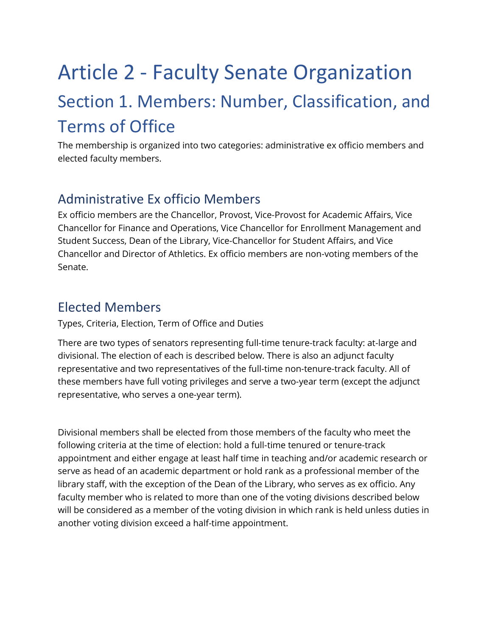# Article 2 - Faculty Senate Organization Section 1. Members: Number, Classification, and Terms of Office

The membership is organized into two categories: administrative ex officio members and elected faculty members.

#### Administrative Ex officio Members

Ex officio members are the Chancellor, Provost, Vice-Provost for Academic Affairs, Vice Chancellor for Finance and Operations, Vice Chancellor for Enrollment Management and Student Success, Dean of the Library, Vice-Chancellor for Student Affairs, and Vice Chancellor and Director of Athletics. Ex officio members are non-voting members of the Senate.

#### Elected Members

Types, Criteria, Election, Term of Office and Duties

There are two types of senators representing full-time tenure-track faculty: at-large and divisional. The election of each is described below. There is also an adjunct faculty representative and two representatives of the full-time non-tenure-track faculty. All of these members have full voting privileges and serve a two-year term (except the adjunct representative, who serves a one-year term).

Divisional members shall be elected from those members of the faculty who meet the following criteria at the time of election: hold a full-time tenured or tenure-track appointment and either engage at least half time in teaching and/or academic research or serve as head of an academic department or hold rank as a professional member of the library staff, with the exception of the Dean of the Library, who serves as ex officio. Any faculty member who is related to more than one of the voting divisions described below will be considered as a member of the voting division in which rank is held unless duties in another voting division exceed a half-time appointment.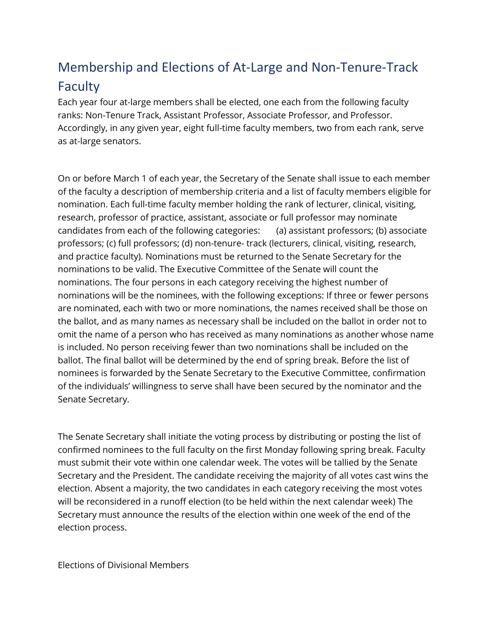#### Membership and Elections of At-Large and Non-Tenure-Track Faculty

Each year four at-large members shall be elected, one each from the following faculty ranks: Non-Tenure Track, Assistant Professor, Associate Professor, and Professor. Accordingly, in any given year, eight full-time faculty members, two from each rank, serve as at-large senators.

On or before March 1 of each year, the Secretary of the Senate shall issue to each member of the faculty a description of membership criteria and a list of faculty members eligible for nomination. Each full-time faculty member holding the rank of lecturer, clinical, visiting, research, professor of practice, assistant, associate or full professor may nominate candidates from each of the following categories: (a) assistant professors; (b) associate professors; (c) full professors; (d) non-tenure- track (lecturers, clinical, visiting, research, and practice faculty). Nominations must be returned to the Senate Secretary for the nominations to be valid. The Executive Committee of the Senate will count the nominations. The four persons in each category receiving the highest number of nominations will be the nominees, with the following exceptions: If three or fewer persons are nominated, each with two or more nominations, the names received shall be those on the ballot, and as many names as necessary shall be included on the ballot in order not to omit the name of a person who has received as many nominations as another whose name is included. No person receiving fewer than two nominations shall be included on the ballot. The final ballot will be determined by the end of spring break. Before the list of nominees is forwarded by the Senate Secretary to the Executive Committee, confirmation of the individuals' willingness to serve shall have been secured by the nominator and the Senate Secretary.

The Senate Secretary shall initiate the voting process by distributing or posting the list of confirmed nominees to the full faculty on the first Monday following spring break. Faculty must submit their vote within one calendar week. The votes will be tallied by the Senate Secretary and the President. The candidate receiving the majority of all votes cast wins the election. Absent a majority, the two candidates in each category receiving the most votes will be reconsidered in a runoff election (to be held within the next calendar week) The Secretary must announce the results of the election within one week of the end of the election process.

Elections of Divisional Members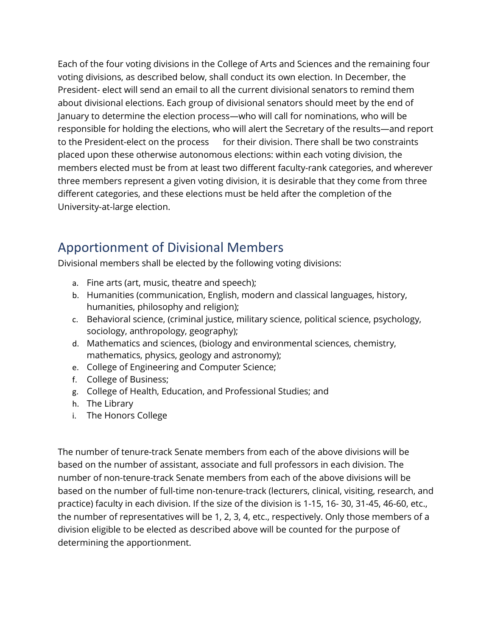Each of the four voting divisions in the College of Arts and Sciences and the remaining four voting divisions, as described below, shall conduct its own election. In December, the President- elect will send an email to all the current divisional senators to remind them about divisional elections. Each group of divisional senators should meet by the end of January to determine the election process—who will call for nominations, who will be responsible for holding the elections, who will alert the Secretary of the results—and report to the President-elect on the process for their division. There shall be two constraints placed upon these otherwise autonomous elections: within each voting division, the members elected must be from at least two different faculty-rank categories, and wherever three members represent a given voting division, it is desirable that they come from three different categories, and these elections must be held after the completion of the University-at-large election.

#### Apportionment of Divisional Members

Divisional members shall be elected by the following voting divisions:

- a. Fine arts (art, music, theatre and speech);
- b. Humanities (communication, English, modern and classical languages, history, humanities, philosophy and religion);
- c. Behavioral science, (criminal justice, military science, political science, psychology, sociology, anthropology, geography);
- d. Mathematics and sciences, (biology and environmental sciences, chemistry, mathematics, physics, geology and astronomy);
- e. College of Engineering and Computer Science;
- f. College of Business;
- g. College of Health, Education, and Professional Studies; and
- h. The Library
- i. The Honors College

The number of tenure-track Senate members from each of the above divisions will be based on the number of assistant, associate and full professors in each division. The number of non-tenure-track Senate members from each of the above divisions will be based on the number of full-time non-tenure-track (lecturers, clinical, visiting, research, and practice) faculty in each division. If the size of the division is 1-15, 16- 30, 31-45, 46-60, etc., the number of representatives will be 1, 2, 3, 4, etc., respectively. Only those members of a division eligible to be elected as described above will be counted for the purpose of determining the apportionment.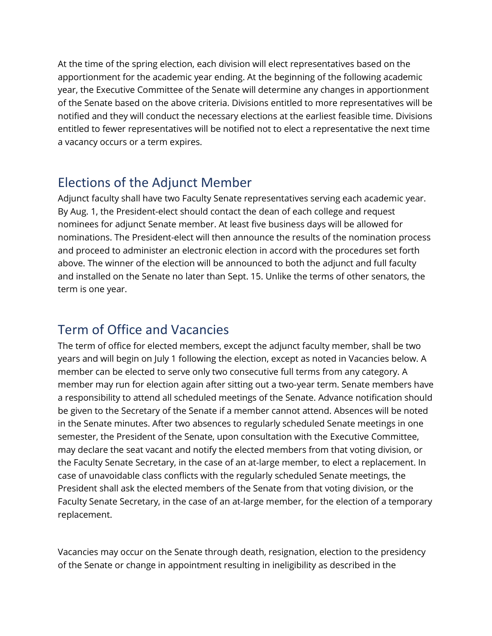At the time of the spring election, each division will elect representatives based on the apportionment for the academic year ending. At the beginning of the following academic year, the Executive Committee of the Senate will determine any changes in apportionment of the Senate based on the above criteria. Divisions entitled to more representatives will be notified and they will conduct the necessary elections at the earliest feasible time. Divisions entitled to fewer representatives will be notified not to elect a representative the next time a vacancy occurs or a term expires.

#### Elections of the Adjunct Member

Adjunct faculty shall have two Faculty Senate representatives serving each academic year. By Aug. 1, the President-elect should contact the dean of each college and request nominees for adjunct Senate member. At least five business days will be allowed for nominations. The President-elect will then announce the results of the nomination process and proceed to administer an electronic election in accord with the procedures set forth above. The winner of the election will be announced to both the adjunct and full faculty and installed on the Senate no later than Sept. 15. Unlike the terms of other senators, the term is one year.

#### Term of Office and Vacancies

The term of office for elected members, except the adjunct faculty member, shall be two years and will begin on July 1 following the election, except as noted in Vacancies below. A member can be elected to serve only two consecutive full terms from any category. A member may run for election again after sitting out a two-year term. Senate members have a responsibility to attend all scheduled meetings of the Senate. Advance notification should be given to the Secretary of the Senate if a member cannot attend. Absences will be noted in the Senate minutes. After two absences to regularly scheduled Senate meetings in one semester, the President of the Senate, upon consultation with the Executive Committee, may declare the seat vacant and notify the elected members from that voting division, or the Faculty Senate Secretary, in the case of an at-large member, to elect a replacement. In case of unavoidable class conflicts with the regularly scheduled Senate meetings, the President shall ask the elected members of the Senate from that voting division, or the Faculty Senate Secretary, in the case of an at-large member, for the election of a temporary replacement.

Vacancies may occur on the Senate through death, resignation, election to the presidency of the Senate or change in appointment resulting in ineligibility as described in the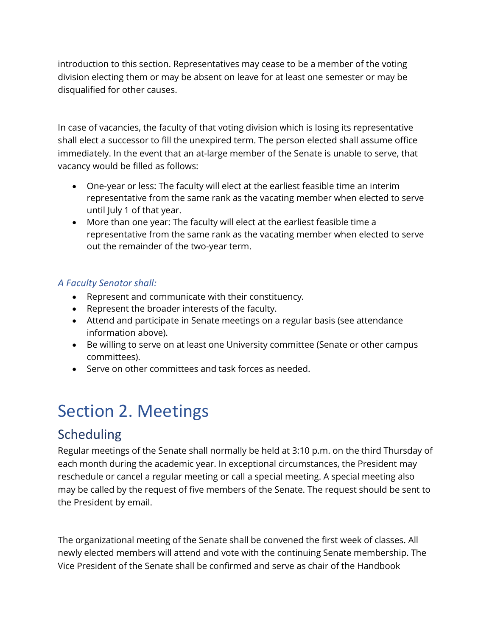introduction to this section. Representatives may cease to be a member of the voting division electing them or may be absent on leave for at least one semester or may be disqualified for other causes.

In case of vacancies, the faculty of that voting division which is losing its representative shall elect a successor to fill the unexpired term. The person elected shall assume office immediately. In the event that an at-large member of the Senate is unable to serve, that vacancy would be filled as follows:

- One-year or less: The faculty will elect at the earliest feasible time an interim representative from the same rank as the vacating member when elected to serve until July 1 of that year.
- More than one year: The faculty will elect at the earliest feasible time a representative from the same rank as the vacating member when elected to serve out the remainder of the two-year term.

#### *A Faculty Senator shall:*

- Represent and communicate with their constituency.
- Represent the broader interests of the faculty.
- Attend and participate in Senate meetings on a regular basis (see attendance information above).
- Be willing to serve on at least one University committee (Senate or other campus committees).
- Serve on other committees and task forces as needed.

# Section 2. Meetings

#### Scheduling

Regular meetings of the Senate shall normally be held at 3:10 p.m. on the third Thursday of each month during the academic year. In exceptional circumstances, the President may reschedule or cancel a regular meeting or call a special meeting. A special meeting also may be called by the request of five members of the Senate. The request should be sent to the President by email.

The organizational meeting of the Senate shall be convened the first week of classes. All newly elected members will attend and vote with the continuing Senate membership. The Vice President of the Senate shall be confirmed and serve as chair of the Handbook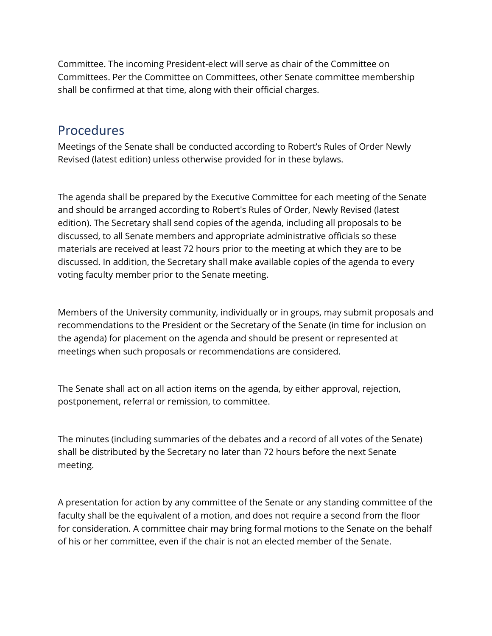Committee. The incoming President-elect will serve as chair of the Committee on Committees. Per the Committee on Committees, other Senate committee membership shall be confirmed at that time, along with their official charges.

#### Procedures

Meetings of the Senate shall be conducted according to Robert's Rules of Order Newly Revised (latest edition) unless otherwise provided for in these bylaws.

The agenda shall be prepared by the Executive Committee for each meeting of the Senate and should be arranged according to Robert's Rules of Order, Newly Revised (latest edition). The Secretary shall send copies of the agenda, including all proposals to be discussed, to all Senate members and appropriate administrative officials so these materials are received at least 72 hours prior to the meeting at which they are to be discussed. In addition, the Secretary shall make available copies of the agenda to every voting faculty member prior to the Senate meeting.

Members of the University community, individually or in groups, may submit proposals and recommendations to the President or the Secretary of the Senate (in time for inclusion on the agenda) for placement on the agenda and should be present or represented at meetings when such proposals or recommendations are considered.

The Senate shall act on all action items on the agenda, by either approval, rejection, postponement, referral or remission, to committee.

The minutes (including summaries of the debates and a record of all votes of the Senate) shall be distributed by the Secretary no later than 72 hours before the next Senate meeting.

A presentation for action by any committee of the Senate or any standing committee of the faculty shall be the equivalent of a motion, and does not require a second from the floor for consideration. A committee chair may bring formal motions to the Senate on the behalf of his or her committee, even if the chair is not an elected member of the Senate.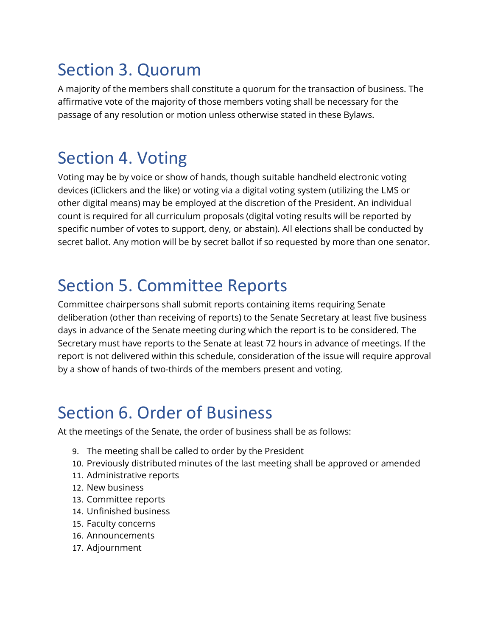## Section 3. Quorum

A majority of the members shall constitute a quorum for the transaction of business. The affirmative vote of the majority of those members voting shall be necessary for the passage of any resolution or motion unless otherwise stated in these Bylaws.

# Section 4. Voting

Voting may be by voice or show of hands, though suitable handheld electronic voting devices (iClickers and the like) or voting via a digital voting system (utilizing the LMS or other digital means) may be employed at the discretion of the President. An individual count is required for all curriculum proposals (digital voting results will be reported by specific number of votes to support, deny, or abstain). All elections shall be conducted by secret ballot. Any motion will be by secret ballot if so requested by more than one senator.

# Section 5. Committee Reports

Committee chairpersons shall submit reports containing items requiring Senate deliberation (other than receiving of reports) to the Senate Secretary at least five business days in advance of the Senate meeting during which the report is to be considered. The Secretary must have reports to the Senate at least 72 hours in advance of meetings. If the report is not delivered within this schedule, consideration of the issue will require approval by a show of hands of two-thirds of the members present and voting.

# Section 6. Order of Business

At the meetings of the Senate, the order of business shall be as follows:

- 9. The meeting shall be called to order by the President
- 10. Previously distributed minutes of the last meeting shall be approved or amended
- 11. Administrative reports
- 12. New business
- 13. Committee reports
- 14. Unfinished business
- 15. Faculty concerns
- 16. Announcements
- 17. Adjournment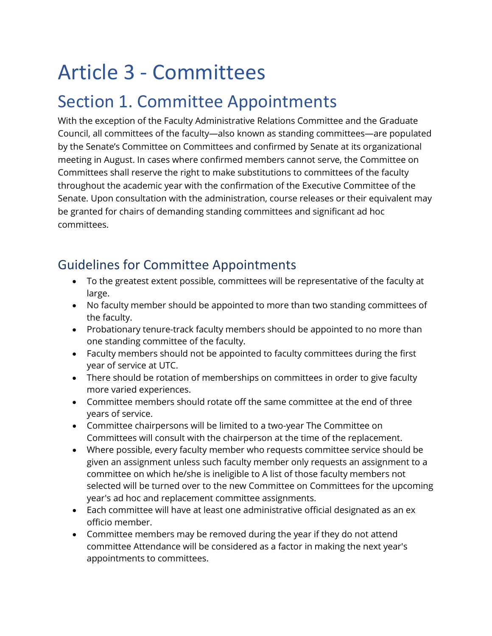# Article 3 - Committees

## Section 1. Committee Appointments

With the exception of the Faculty Administrative Relations Committee and the Graduate Council, all committees of the faculty—also known as standing committees—are populated by the Senate's Committee on Committees and confirmed by Senate at its organizational meeting in August. In cases where confirmed members cannot serve, the Committee on Committees shall reserve the right to make substitutions to committees of the faculty throughout the academic year with the confirmation of the Executive Committee of the Senate. Upon consultation with the administration, course releases or their equivalent may be granted for chairs of demanding standing committees and significant ad hoc committees.

#### Guidelines for Committee Appointments

- To the greatest extent possible, committees will be representative of the faculty at large.
- No faculty member should be appointed to more than two standing committees of the faculty.
- Probationary tenure-track faculty members should be appointed to no more than one standing committee of the faculty.
- Faculty members should not be appointed to faculty committees during the first year of service at UTC.
- There should be rotation of memberships on committees in order to give faculty more varied experiences.
- Committee members should rotate off the same committee at the end of three years of service.
- Committee chairpersons will be limited to a two-year The Committee on Committees will consult with the chairperson at the time of the replacement.
- Where possible, every faculty member who requests committee service should be given an assignment unless such faculty member only requests an assignment to a committee on which he/she is ineligible to A list of those faculty members not selected will be turned over to the new Committee on Committees for the upcoming year's ad hoc and replacement committee assignments.
- Each committee will have at least one administrative official designated as an ex officio member.
- Committee members may be removed during the year if they do not attend committee Attendance will be considered as a factor in making the next year's appointments to committees.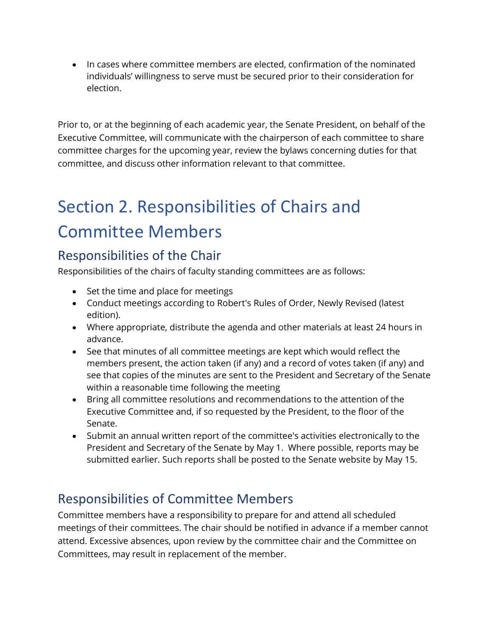• In cases where committee members are elected, confirmation of the nominated individuals' willingness to serve must be secured prior to their consideration for election.

Prior to, or at the beginning of each academic year, the Senate President, on behalf of the Executive Committee, will communicate with the chairperson of each committee to share committee charges for the upcoming year, review the bylaws concerning duties for that committee, and discuss other information relevant to that committee.

# Section 2. Responsibilities of Chairs and Committee Members

#### Responsibilities of the Chair

Responsibilities of the chairs of faculty standing committees are as follows:

- Set the time and place for meetings
- Conduct meetings according to Robert's Rules of Order, Newly Revised (latest edition).
- Where appropriate, distribute the agenda and other materials at least 24 hours in advance.
- See that minutes of all committee meetings are kept which would reflect the members present, the action taken (if any) and a record of votes taken (if any) and see that copies of the minutes are sent to the President and Secretary of the Senate within a reasonable time following the meeting
- Bring all committee resolutions and recommendations to the attention of the Executive Committee and, if so requested by the President, to the floor of the Senate.
- Submit an annual written report of the committee's activities electronically to the President and Secretary of the Senate by May 1. Where possible, reports may be submitted earlier. Such reports shall be posted to the Senate website by May 15.

#### Responsibilities of Committee Members

Committee members have a responsibility to prepare for and attend all scheduled meetings of their committees. The chair should be notified in advance if a member cannot attend. Excessive absences, upon review by the committee chair and the Committee on Committees, may result in replacement of the member.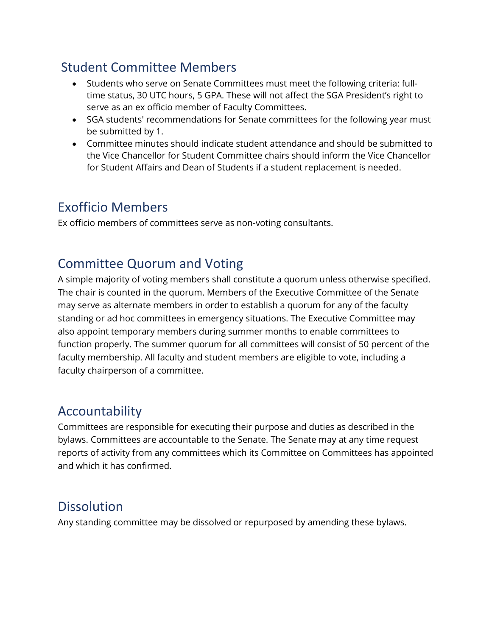#### Student Committee Members

- Students who serve on Senate Committees must meet the following criteria: fulltime status, 30 UTC hours, 5 GPA. These will not affect the SGA President's right to serve as an ex officio member of Faculty Committees.
- SGA students' recommendations for Senate committees for the following year must be submitted by 1.
- Committee minutes should indicate student attendance and should be submitted to the Vice Chancellor for Student Committee chairs should inform the Vice Chancellor for Student Affairs and Dean of Students if a student replacement is needed.

#### Exofficio Members

Ex officio members of committees serve as non-voting consultants.

#### Committee Quorum and Voting

A simple majority of voting members shall constitute a quorum unless otherwise specified. The chair is counted in the quorum. Members of the Executive Committee of the Senate may serve as alternate members in order to establish a quorum for any of the faculty standing or ad hoc committees in emergency situations. The Executive Committee may also appoint temporary members during summer months to enable committees to function properly. The summer quorum for all committees will consist of 50 percent of the faculty membership. All faculty and student members are eligible to vote, including a faculty chairperson of a committee.

#### Accountability

Committees are responsible for executing their purpose and duties as described in the bylaws. Committees are accountable to the Senate. The Senate may at any time request reports of activity from any committees which its Committee on Committees has appointed and which it has confirmed.

#### Dissolution

Any standing committee may be dissolved or repurposed by amending these bylaws.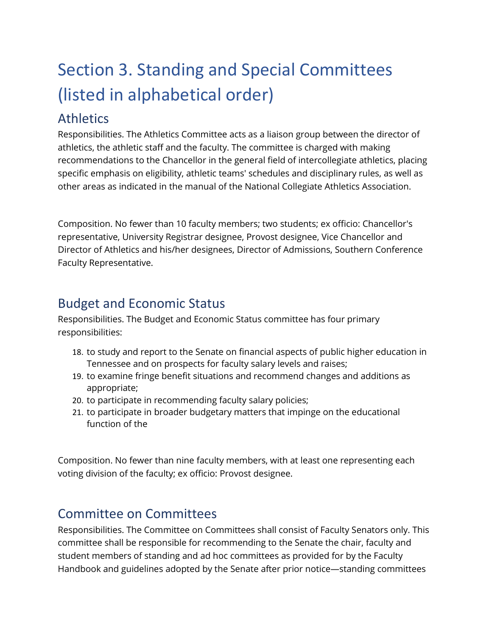# Section 3. Standing and Special Committees (listed in alphabetical order)

#### Athletics

Responsibilities. The Athletics Committee acts as a liaison group between the director of athletics, the athletic staff and the faculty. The committee is charged with making recommendations to the Chancellor in the general field of intercollegiate athletics, placing specific emphasis on eligibility, athletic teams' schedules and disciplinary rules, as well as other areas as indicated in the manual of the National Collegiate Athletics Association.

Composition. No fewer than 10 faculty members; two students; ex officio: Chancellor's representative, University Registrar designee, Provost designee, Vice Chancellor and Director of Athletics and his/her designees, Director of Admissions, Southern Conference Faculty Representative.

#### Budget and Economic Status

Responsibilities. The Budget and Economic Status committee has four primary responsibilities:

- 18. to study and report to the Senate on financial aspects of public higher education in Tennessee and on prospects for faculty salary levels and raises;
- 19. to examine fringe benefit situations and recommend changes and additions as appropriate;
- 20. to participate in recommending faculty salary policies;
- 21. to participate in broader budgetary matters that impinge on the educational function of the

Composition. No fewer than nine faculty members, with at least one representing each voting division of the faculty; ex officio: Provost designee.

#### Committee on Committees

Responsibilities. The Committee on Committees shall consist of Faculty Senators only. This committee shall be responsible for recommending to the Senate the chair, faculty and student members of standing and ad hoc committees as provided for by the Faculty Handbook and guidelines adopted by the Senate after prior notice—standing committees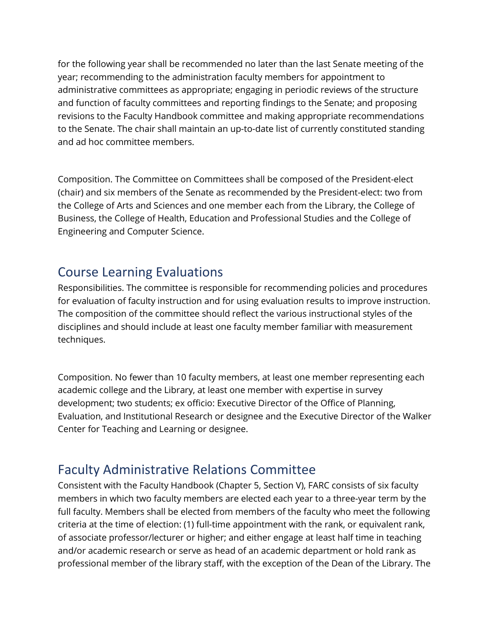for the following year shall be recommended no later than the last Senate meeting of the year; recommending to the administration faculty members for appointment to administrative committees as appropriate; engaging in periodic reviews of the structure and function of faculty committees and reporting findings to the Senate; and proposing revisions to the Faculty Handbook committee and making appropriate recommendations to the Senate. The chair shall maintain an up-to-date list of currently constituted standing and ad hoc committee members.

Composition. The Committee on Committees shall be composed of the President-elect (chair) and six members of the Senate as recommended by the President-elect: two from the College of Arts and Sciences and one member each from the Library, the College of Business, the College of Health, Education and Professional Studies and the College of Engineering and Computer Science.

#### Course Learning Evaluations

Responsibilities. The committee is responsible for recommending policies and procedures for evaluation of faculty instruction and for using evaluation results to improve instruction. The composition of the committee should reflect the various instructional styles of the disciplines and should include at least one faculty member familiar with measurement techniques.

Composition. No fewer than 10 faculty members, at least one member representing each academic college and the Library, at least one member with expertise in survey development; two students; ex officio: Executive Director of the Office of Planning, Evaluation, and Institutional Research or designee and the Executive Director of the Walker Center for Teaching and Learning or designee.

#### Faculty Administrative Relations Committee

Consistent with the Faculty Handbook (Chapter 5, Section V), FARC consists of six faculty members in which two faculty members are elected each year to a three-year term by the full faculty. Members shall be elected from members of the faculty who meet the following criteria at the time of election: (1) full-time appointment with the rank, or equivalent rank, of associate professor/lecturer or higher; and either engage at least half time in teaching and/or academic research or serve as head of an academic department or hold rank as professional member of the library staff, with the exception of the Dean of the Library. The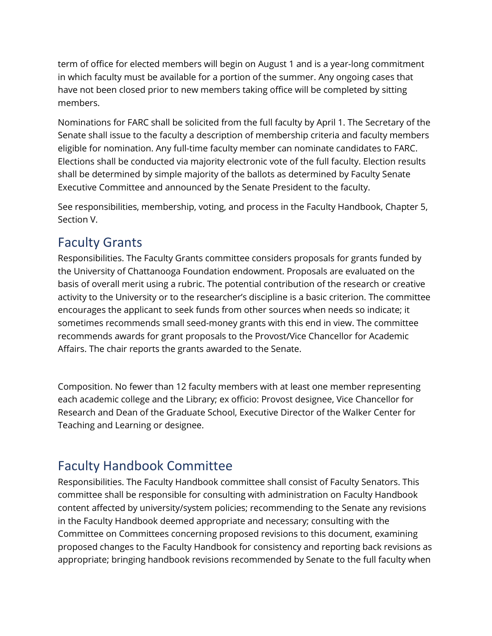term of office for elected members will begin on August 1 and is a year-long commitment in which faculty must be available for a portion of the summer. Any ongoing cases that have not been closed prior to new members taking office will be completed by sitting members.

Nominations for FARC shall be solicited from the full faculty by April 1. The Secretary of the Senate shall issue to the faculty a description of membership criteria and faculty members eligible for nomination. Any full-time faculty member can nominate candidates to FARC. Elections shall be conducted via majority electronic vote of the full faculty. Election results shall be determined by simple majority of the ballots as determined by Faculty Senate Executive Committee and announced by the Senate President to the faculty.

See responsibilities, membership, voting, and process in the Faculty Handbook, Chapter 5, Section V.

#### Faculty Grants

Responsibilities. The Faculty Grants committee considers proposals for grants funded by the University of Chattanooga Foundation endowment. Proposals are evaluated on the basis of overall merit using a rubric. The potential contribution of the research or creative activity to the University or to the researcher's discipline is a basic criterion. The committee encourages the applicant to seek funds from other sources when needs so indicate; it sometimes recommends small seed-money grants with this end in view. The committee recommends awards for grant proposals to the Provost/Vice Chancellor for Academic Affairs. The chair reports the grants awarded to the Senate.

Composition. No fewer than 12 faculty members with at least one member representing each academic college and the Library; ex officio: Provost designee, Vice Chancellor for Research and Dean of the Graduate School, Executive Director of the Walker Center for Teaching and Learning or designee.

#### Faculty Handbook Committee

Responsibilities. The Faculty Handbook committee shall consist of Faculty Senators. This committee shall be responsible for consulting with administration on Faculty Handbook content affected by university/system policies; recommending to the Senate any revisions in the Faculty Handbook deemed appropriate and necessary; consulting with the Committee on Committees concerning proposed revisions to this document, examining proposed changes to the Faculty Handbook for consistency and reporting back revisions as appropriate; bringing handbook revisions recommended by Senate to the full faculty when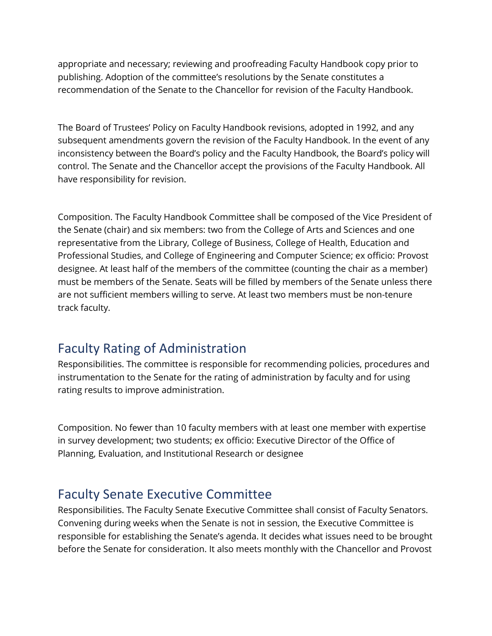appropriate and necessary; reviewing and proofreading Faculty Handbook copy prior to publishing. Adoption of the committee's resolutions by the Senate constitutes a recommendation of the Senate to the Chancellor for revision of the Faculty Handbook.

The Board of Trustees' Policy on Faculty Handbook revisions, adopted in 1992, and any subsequent amendments govern the revision of the Faculty Handbook. In the event of any inconsistency between the Board's policy and the Faculty Handbook, the Board's policy will control. The Senate and the Chancellor accept the provisions of the Faculty Handbook. All have responsibility for revision.

Composition. The Faculty Handbook Committee shall be composed of the Vice President of the Senate (chair) and six members: two from the College of Arts and Sciences and one representative from the Library, College of Business, College of Health, Education and Professional Studies, and College of Engineering and Computer Science; ex officio: Provost designee. At least half of the members of the committee (counting the chair as a member) must be members of the Senate. Seats will be filled by members of the Senate unless there are not sufficient members willing to serve. At least two members must be non-tenure track faculty.

#### Faculty Rating of Administration

Responsibilities. The committee is responsible for recommending policies, procedures and instrumentation to the Senate for the rating of administration by faculty and for using rating results to improve administration.

Composition. No fewer than 10 faculty members with at least one member with expertise in survey development; two students; ex officio: Executive Director of the Office of Planning, Evaluation, and Institutional Research or designee

#### Faculty Senate Executive Committee

Responsibilities. The Faculty Senate Executive Committee shall consist of Faculty Senators. Convening during weeks when the Senate is not in session, the Executive Committee is responsible for establishing the Senate's agenda. It decides what issues need to be brought before the Senate for consideration. It also meets monthly with the Chancellor and Provost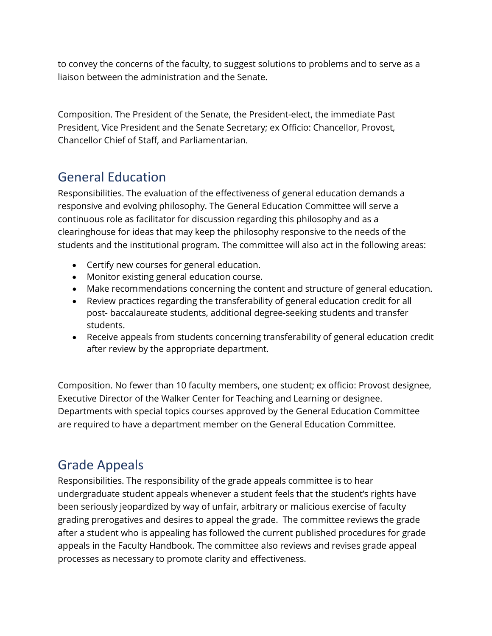to convey the concerns of the faculty, to suggest solutions to problems and to serve as a liaison between the administration and the Senate.

Composition. The President of the Senate, the President-elect, the immediate Past President, Vice President and the Senate Secretary; ex Officio: Chancellor, Provost, Chancellor Chief of Staff, and Parliamentarian.

#### General Education

Responsibilities. The evaluation of the effectiveness of general education demands a responsive and evolving philosophy. The General Education Committee will serve a continuous role as facilitator for discussion regarding this philosophy and as a clearinghouse for ideas that may keep the philosophy responsive to the needs of the students and the institutional program. The committee will also act in the following areas:

- Certify new courses for general education.
- Monitor existing general education course.
- Make recommendations concerning the content and structure of general education.
- Review practices regarding the transferability of general education credit for all post- baccalaureate students, additional degree-seeking students and transfer students.
- Receive appeals from students concerning transferability of general education credit after review by the appropriate department.

Composition. No fewer than 10 faculty members, one student; ex officio: Provost designee, Executive Director of the Walker Center for Teaching and Learning or designee. Departments with special topics courses approved by the General Education Committee are required to have a department member on the General Education Committee.

#### Grade Appeals

Responsibilities. The responsibility of the grade appeals committee is to hear undergraduate student appeals whenever a student feels that the student's rights have been seriously jeopardized by way of unfair, arbitrary or malicious exercise of faculty grading prerogatives and desires to appeal the grade. The committee reviews the grade after a student who is appealing has followed the current published procedures for grade appeals in the Faculty Handbook. The committee also reviews and revises grade appeal processes as necessary to promote clarity and effectiveness.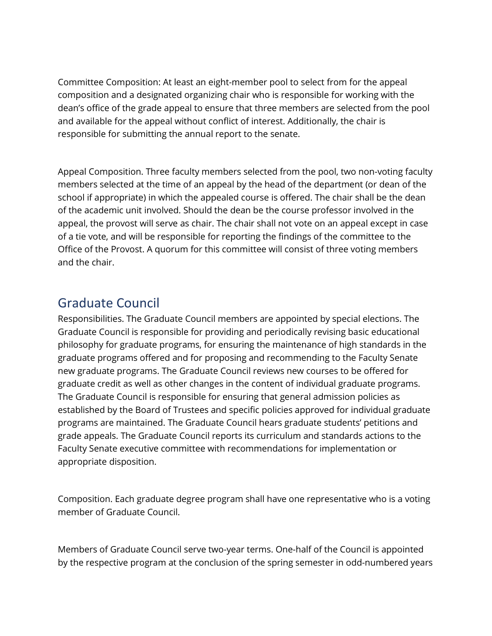Committee Composition: At least an eight-member pool to select from for the appeal composition and a designated organizing chair who is responsible for working with the dean's office of the grade appeal to ensure that three members are selected from the pool and available for the appeal without conflict of interest. Additionally, the chair is responsible for submitting the annual report to the senate.

Appeal Composition. Three faculty members selected from the pool, two non-voting faculty members selected at the time of an appeal by the head of the department (or dean of the school if appropriate) in which the appealed course is offered. The chair shall be the dean of the academic unit involved. Should the dean be the course professor involved in the appeal, the provost will serve as chair. The chair shall not vote on an appeal except in case of a tie vote, and will be responsible for reporting the findings of the committee to the Office of the Provost. A quorum for this committee will consist of three voting members and the chair.

#### Graduate Council

Responsibilities. The Graduate Council members are appointed by special elections. The Graduate Council is responsible for providing and periodically revising basic educational philosophy for graduate programs, for ensuring the maintenance of high standards in the graduate programs offered and for proposing and recommending to the Faculty Senate new graduate programs. The Graduate Council reviews new courses to be offered for graduate credit as well as other changes in the content of individual graduate programs. The Graduate Council is responsible for ensuring that general admission policies as established by the Board of Trustees and specific policies approved for individual graduate programs are maintained. The Graduate Council hears graduate students' petitions and grade appeals. The Graduate Council reports its curriculum and standards actions to the Faculty Senate executive committee with recommendations for implementation or appropriate disposition.

Composition. Each graduate degree program shall have one representative who is a voting member of Graduate Council.

Members of Graduate Council serve two-year terms. One-half of the Council is appointed by the respective program at the conclusion of the spring semester in odd-numbered years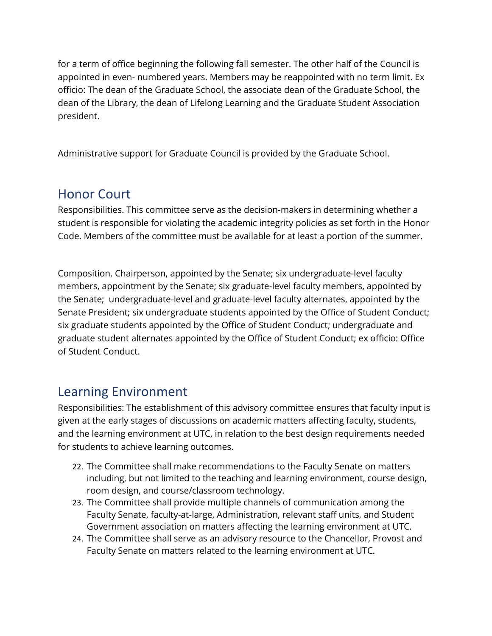for a term of office beginning the following fall semester. The other half of the Council is appointed in even- numbered years. Members may be reappointed with no term limit. Ex officio: The dean of the Graduate School, the associate dean of the Graduate School, the dean of the Library, the dean of Lifelong Learning and the Graduate Student Association president.

Administrative support for Graduate Council is provided by the Graduate School.

#### Honor Court

Responsibilities. This committee serve as the decision-makers in determining whether a student is responsible for violating the academic integrity policies as set forth in the Honor Code. Members of the committee must be available for at least a portion of the summer.

Composition. Chairperson, appointed by the Senate; six undergraduate-level faculty members, appointment by the Senate; six graduate-level faculty members, appointed by the Senate; undergraduate-level and graduate-level faculty alternates, appointed by the Senate President; six undergraduate students appointed by the Office of Student Conduct; six graduate students appointed by the Office of Student Conduct; undergraduate and graduate student alternates appointed by the Office of Student Conduct; ex officio: Office of Student Conduct.

#### Learning Environment

Responsibilities: The establishment of this advisory committee ensures that faculty input is given at the early stages of discussions on academic matters affecting faculty, students, and the learning environment at UTC, in relation to the best design requirements needed for students to achieve learning outcomes.

- 22. The Committee shall make recommendations to the Faculty Senate on matters including, but not limited to the teaching and learning environment, course design, room design, and course/classroom technology.
- 23. The Committee shall provide multiple channels of communication among the Faculty Senate, faculty-at-large, Administration, relevant staff units, and Student Government association on matters affecting the learning environment at UTC.
- 24. The Committee shall serve as an advisory resource to the Chancellor, Provost and Faculty Senate on matters related to the learning environment at UTC.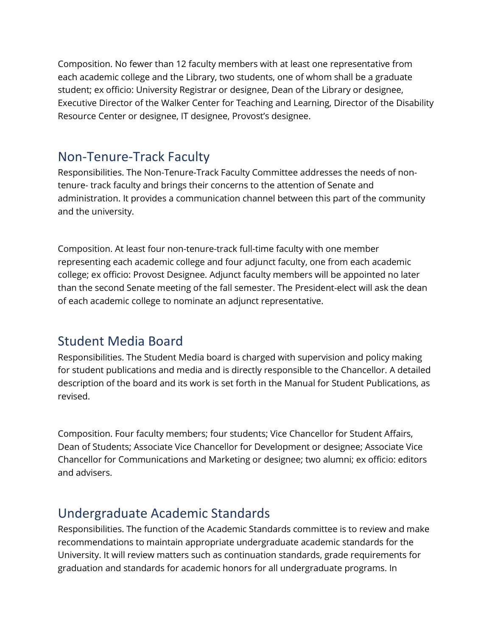Composition. No fewer than 12 faculty members with at least one representative from each academic college and the Library, two students, one of whom shall be a graduate student; ex officio: University Registrar or designee, Dean of the Library or designee, Executive Director of the Walker Center for Teaching and Learning, Director of the Disability Resource Center or designee, IT designee, Provost's designee.

#### Non-Tenure-Track Faculty

Responsibilities. The Non-Tenure-Track Faculty Committee addresses the needs of nontenure- track faculty and brings their concerns to the attention of Senate and administration. It provides a communication channel between this part of the community and the university.

Composition. At least four non-tenure-track full-time faculty with one member representing each academic college and four adjunct faculty, one from each academic college; ex officio: Provost Designee. Adjunct faculty members will be appointed no later than the second Senate meeting of the fall semester. The President-elect will ask the dean of each academic college to nominate an adjunct representative.

#### Student Media Board

Responsibilities. The Student Media board is charged with supervision and policy making for student publications and media and is directly responsible to the Chancellor. A detailed description of the board and its work is set forth in the Manual for Student Publications, as revised.

Composition. Four faculty members; four students; Vice Chancellor for Student Affairs, Dean of Students; Associate Vice Chancellor for Development or designee; Associate Vice Chancellor for Communications and Marketing or designee; two alumni; ex officio: editors and advisers.

#### Undergraduate Academic Standards

Responsibilities. The function of the Academic Standards committee is to review and make recommendations to maintain appropriate undergraduate academic standards for the University. It will review matters such as continuation standards, grade requirements for graduation and standards for academic honors for all undergraduate programs. In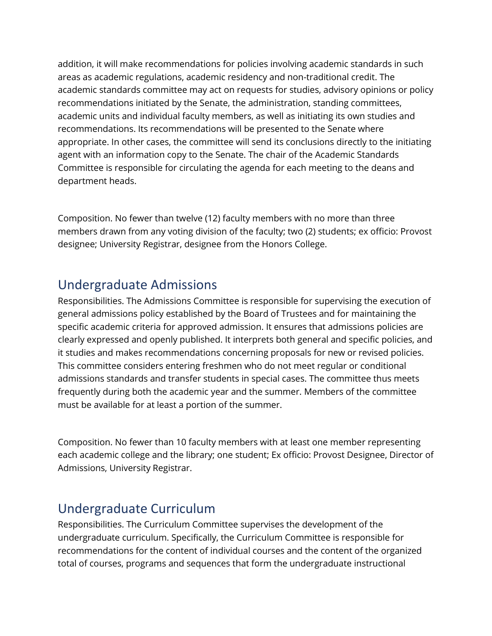addition, it will make recommendations for policies involving academic standards in such areas as academic regulations, academic residency and non-traditional credit. The academic standards committee may act on requests for studies, advisory opinions or policy recommendations initiated by the Senate, the administration, standing committees, academic units and individual faculty members, as well as initiating its own studies and recommendations. Its recommendations will be presented to the Senate where appropriate. In other cases, the committee will send its conclusions directly to the initiating agent with an information copy to the Senate. The chair of the Academic Standards Committee is responsible for circulating the agenda for each meeting to the deans and department heads.

Composition. No fewer than twelve (12) faculty members with no more than three members drawn from any voting division of the faculty; two (2) students; ex officio: Provost designee; University Registrar, designee from the Honors College.

#### Undergraduate Admissions

Responsibilities. The Admissions Committee is responsible for supervising the execution of general admissions policy established by the Board of Trustees and for maintaining the specific academic criteria for approved admission. It ensures that admissions policies are clearly expressed and openly published. It interprets both general and specific policies, and it studies and makes recommendations concerning proposals for new or revised policies. This committee considers entering freshmen who do not meet regular or conditional admissions standards and transfer students in special cases. The committee thus meets frequently during both the academic year and the summer. Members of the committee must be available for at least a portion of the summer.

Composition. No fewer than 10 faculty members with at least one member representing each academic college and the library; one student; Ex officio: Provost Designee, Director of Admissions, University Registrar.

#### Undergraduate Curriculum

Responsibilities. The Curriculum Committee supervises the development of the undergraduate curriculum. Specifically, the Curriculum Committee is responsible for recommendations for the content of individual courses and the content of the organized total of courses, programs and sequences that form the undergraduate instructional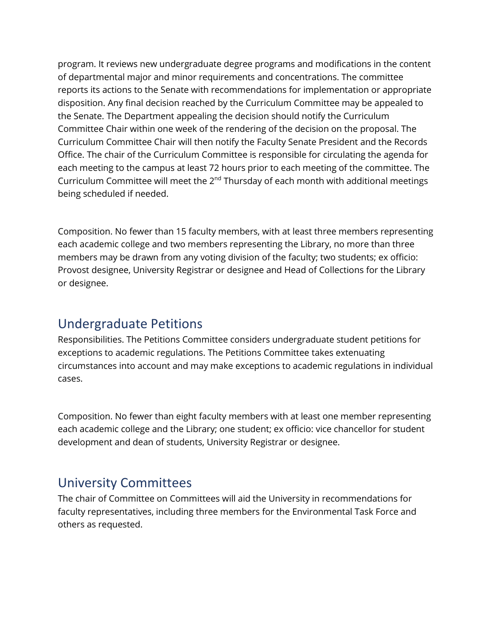program. It reviews new undergraduate degree programs and modifications in the content of departmental major and minor requirements and concentrations. The committee reports its actions to the Senate with recommendations for implementation or appropriate disposition. Any final decision reached by the Curriculum Committee may be appealed to the Senate. The Department appealing the decision should notify the Curriculum Committee Chair within one week of the rendering of the decision on the proposal. The Curriculum Committee Chair will then notify the Faculty Senate President and the Records Office. The chair of the Curriculum Committee is responsible for circulating the agenda for each meeting to the campus at least 72 hours prior to each meeting of the committee. The Curriculum Committee will meet the 2<sup>nd</sup> Thursday of each month with additional meetings being scheduled if needed.

Composition. No fewer than 15 faculty members, with at least three members representing each academic college and two members representing the Library, no more than three members may be drawn from any voting division of the faculty; two students; ex officio: Provost designee, University Registrar or designee and Head of Collections for the Library or designee.

#### Undergraduate Petitions

Responsibilities. The Petitions Committee considers undergraduate student petitions for exceptions to academic regulations. The Petitions Committee takes extenuating circumstances into account and may make exceptions to academic regulations in individual cases.

Composition. No fewer than eight faculty members with at least one member representing each academic college and the Library; one student; ex officio: vice chancellor for student development and dean of students, University Registrar or designee.

#### University Committees

The chair of Committee on Committees will aid the University in recommendations for faculty representatives, including three members for the Environmental Task Force and others as requested.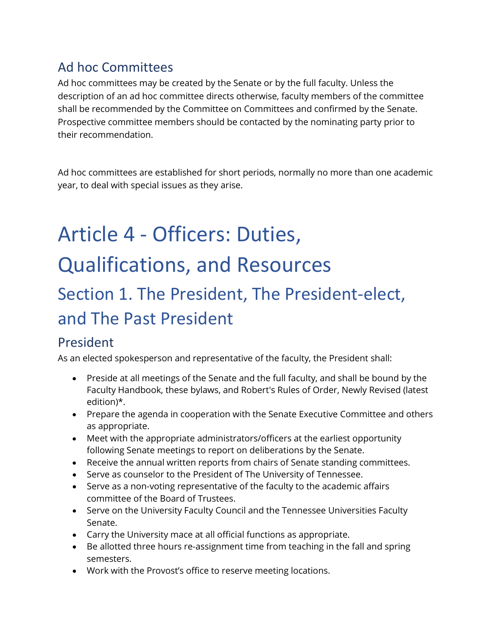#### Ad hoc Committees

Ad hoc committees may be created by the Senate or by the full faculty. Unless the description of an ad hoc committee directs otherwise, faculty members of the committee shall be recommended by the Committee on Committees and confirmed by the Senate. Prospective committee members should be contacted by the nominating party prior to their recommendation.

Ad hoc committees are established for short periods, normally no more than one academic year, to deal with special issues as they arise.

# Article 4 - Officers: Duties, Qualifications, and Resources

# Section 1. The President, The President-elect, and The Past President

#### President

As an elected spokesperson and representative of the faculty, the President shall:

- Preside at all meetings of the Senate and the full faculty, and shall be bound by the Faculty Handbook, these bylaws, and Robert's Rules of Order, Newly Revised (latest edition)\*.
- Prepare the agenda in cooperation with the Senate Executive Committee and others as appropriate.
- Meet with the appropriate administrators/officers at the earliest opportunity following Senate meetings to report on deliberations by the Senate.
- Receive the annual written reports from chairs of Senate standing committees.
- Serve as counselor to the President of The University of Tennessee.
- Serve as a non-voting representative of the faculty to the academic affairs committee of the Board of Trustees.
- Serve on the University Faculty Council and the Tennessee Universities Faculty Senate.
- Carry the University mace at all official functions as appropriate.
- Be allotted three hours re-assignment time from teaching in the fall and spring semesters.
- Work with the Provost's office to reserve meeting locations.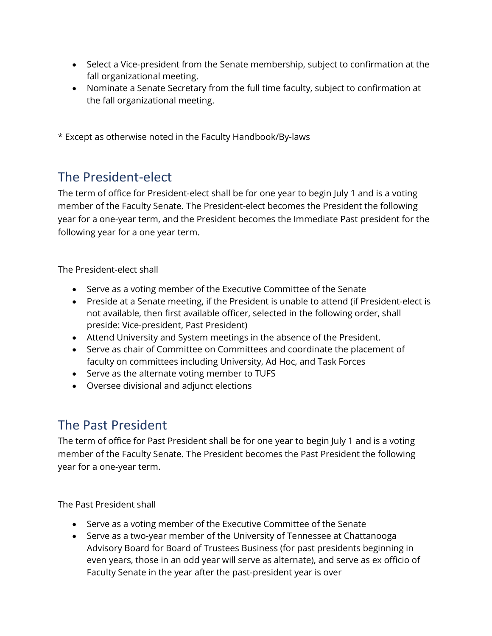- Select a Vice-president from the Senate membership, subject to confirmation at the fall organizational meeting.
- Nominate a Senate Secretary from the full time faculty, subject to confirmation at the fall organizational meeting.

\* Except as otherwise noted in the Faculty Handbook/By-laws

#### The President-elect

The term of office for President-elect shall be for one year to begin July 1 and is a voting member of the Faculty Senate. The President-elect becomes the President the following year for a one-year term, and the President becomes the Immediate Past president for the following year for a one year term.

The President-elect shall

- Serve as a voting member of the Executive Committee of the Senate
- Preside at a Senate meeting, if the President is unable to attend (if President-elect is not available, then first available officer, selected in the following order, shall preside: Vice-president, Past President)
- Attend University and System meetings in the absence of the President.
- Serve as chair of Committee on Committees and coordinate the placement of faculty on committees including University, Ad Hoc, and Task Forces
- Serve as the alternate voting member to TUFS
- Oversee divisional and adjunct elections

#### The Past President

The term of office for Past President shall be for one year to begin July 1 and is a voting member of the Faculty Senate. The President becomes the Past President the following year for a one-year term.

The Past President shall

- Serve as a voting member of the Executive Committee of the Senate
- Serve as a two-year member of the University of Tennessee at Chattanooga Advisory Board for Board of Trustees Business (for past presidents beginning in even years, those in an odd year will serve as alternate), and serve as ex officio of Faculty Senate in the year after the past-president year is over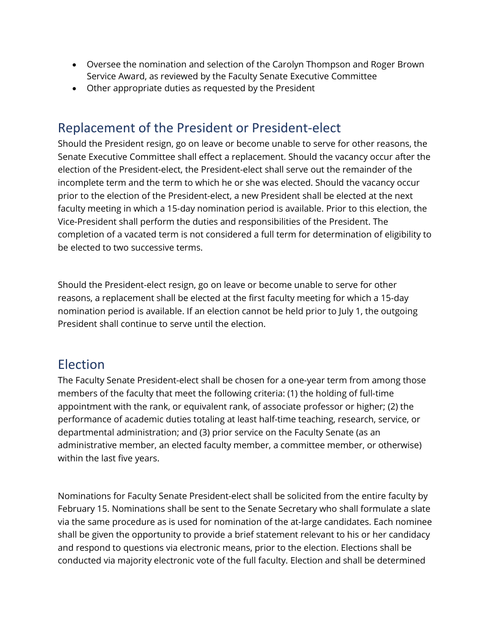- Oversee the nomination and selection of the Carolyn Thompson and Roger Brown Service Award, as reviewed by the Faculty Senate Executive Committee
- Other appropriate duties as requested by the President

#### Replacement of the President or President-elect

Should the President resign, go on leave or become unable to serve for other reasons, the Senate Executive Committee shall effect a replacement. Should the vacancy occur after the election of the President-elect, the President-elect shall serve out the remainder of the incomplete term and the term to which he or she was elected. Should the vacancy occur prior to the election of the President-elect, a new President shall be elected at the next faculty meeting in which a 15-day nomination period is available. Prior to this election, the Vice-President shall perform the duties and responsibilities of the President. The completion of a vacated term is not considered a full term for determination of eligibility to be elected to two successive terms.

Should the President-elect resign, go on leave or become unable to serve for other reasons, a replacement shall be elected at the first faculty meeting for which a 15-day nomination period is available. If an election cannot be held prior to July 1, the outgoing President shall continue to serve until the election.

#### Election

The Faculty Senate President-elect shall be chosen for a one-year term from among those members of the faculty that meet the following criteria: (1) the holding of full-time appointment with the rank, or equivalent rank, of associate professor or higher; (2) the performance of academic duties totaling at least half-time teaching, research, service, or departmental administration; and (3) prior service on the Faculty Senate (as an administrative member, an elected faculty member, a committee member, or otherwise) within the last five years.

Nominations for Faculty Senate President-elect shall be solicited from the entire faculty by February 15. Nominations shall be sent to the Senate Secretary who shall formulate a slate via the same procedure as is used for nomination of the at-large candidates. Each nominee shall be given the opportunity to provide a brief statement relevant to his or her candidacy and respond to questions via electronic means, prior to the election. Elections shall be conducted via majority electronic vote of the full faculty. Election and shall be determined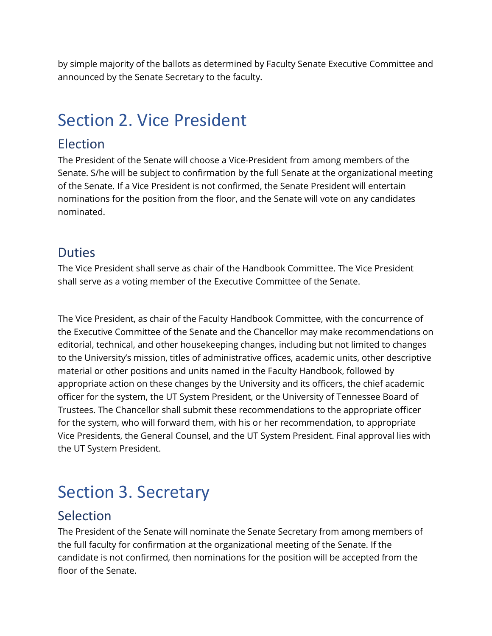by simple majority of the ballots as determined by Faculty Senate Executive Committee and announced by the Senate Secretary to the faculty.

## Section 2. Vice President

#### Election

The President of the Senate will choose a Vice-President from among members of the Senate. S/he will be subject to confirmation by the full Senate at the organizational meeting of the Senate. If a Vice President is not confirmed, the Senate President will entertain nominations for the position from the floor, and the Senate will vote on any candidates nominated.

#### Duties

The Vice President shall serve as chair of the Handbook Committee. The Vice President shall serve as a voting member of the Executive Committee of the Senate.

The Vice President, as chair of the Faculty Handbook Committee, with the concurrence of the Executive Committee of the Senate and the Chancellor may make recommendations on editorial, technical, and other housekeeping changes, including but not limited to changes to the University's mission, titles of administrative offices, academic units, other descriptive material or other positions and units named in the Faculty Handbook, followed by appropriate action on these changes by the University and its officers, the chief academic officer for the system, the UT System President, or the University of Tennessee Board of Trustees. The Chancellor shall submit these recommendations to the appropriate officer for the system, who will forward them, with his or her recommendation, to appropriate Vice Presidents, the General Counsel, and the UT System President. Final approval lies with the UT System President.

## Section 3. Secretary

#### Selection

The President of the Senate will nominate the Senate Secretary from among members of the full faculty for confirmation at the organizational meeting of the Senate. If the candidate is not confirmed, then nominations for the position will be accepted from the floor of the Senate.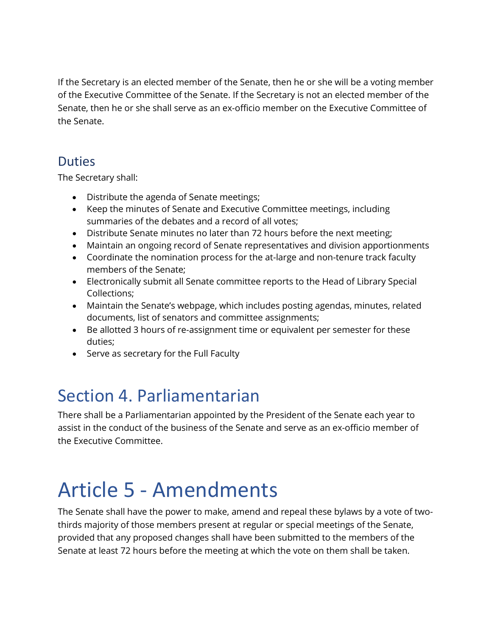If the Secretary is an elected member of the Senate, then he or she will be a voting member of the Executive Committee of the Senate. If the Secretary is not an elected member of the Senate, then he or she shall serve as an ex-officio member on the Executive Committee of the Senate.

#### **Duties**

The Secretary shall:

- Distribute the agenda of Senate meetings;
- Keep the minutes of Senate and Executive Committee meetings, including summaries of the debates and a record of all votes;
- Distribute Senate minutes no later than 72 hours before the next meeting;
- Maintain an ongoing record of Senate representatives and division apportionments
- Coordinate the nomination process for the at-large and non-tenure track faculty members of the Senate;
- Electronically submit all Senate committee reports to the Head of Library Special Collections;
- Maintain the Senate's webpage, which includes posting agendas, minutes, related documents, list of senators and committee assignments;
- Be allotted 3 hours of re-assignment time or equivalent per semester for these duties;
- Serve as secretary for the Full Faculty

# Section 4. Parliamentarian

There shall be a Parliamentarian appointed by the President of the Senate each year to assist in the conduct of the business of the Senate and serve as an ex-officio member of the Executive Committee.

# Article 5 - Amendments

The Senate shall have the power to make, amend and repeal these bylaws by a vote of twothirds majority of those members present at regular or special meetings of the Senate, provided that any proposed changes shall have been submitted to the members of the Senate at least 72 hours before the meeting at which the vote on them shall be taken.